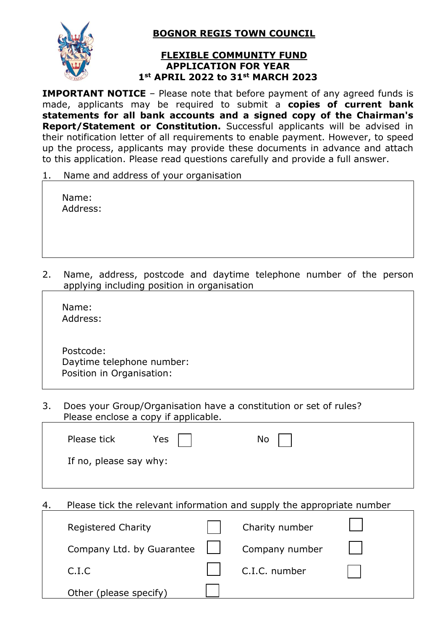

 **BOGNOR REGIS TOWN COUNCIL**

## **FLEXIBLE COMMUNITY FUND APPLICATION FOR YEAR 1st APRIL 2022 to 31st MARCH 2023**

**IMPORTANT NOTICE** – Please note that before payment of any agreed funds is made, applicants may be required to submit a **copies of current bank statements for all bank accounts and a signed copy of the Chairman's Report/Statement or Constitution.** Successful applicants will be advised in their notification letter of all requirements to enable payment. However, to speed up the process, applicants may provide these documents in advance and attach to this application. Please read questions carefully and provide a full answer.

Name and address of your organisation

| Name:    |  |
|----------|--|
| Address: |  |

2. Name, address, postcode and daytime telephone number of the person applying including position in organisation

 Name: Address:

 Postcode: Daytime telephone number: Position in Organisation:

3. Does your Group/Organisation have a constitution or set of rules? Please enclose a copy if applicable.

| Please tick            | Yes | No l |  |
|------------------------|-----|------|--|
| If no, please say why: |     |      |  |
|                        |     |      |  |

4. Please tick the relevant information and supply the appropriate number

| <b>Registered Charity</b> | Charity number |  |
|---------------------------|----------------|--|
| Company Ltd. by Guarantee | Company number |  |
| C.I.C                     | C.I.C. number  |  |
| Other (please specify)    |                |  |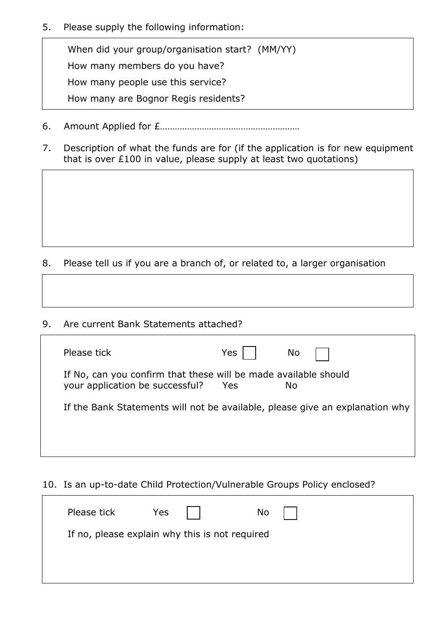5. Please supply the following information:

Ī

When did your group/organisation start? (MM/YY) How many members do you have? How many people use this service? How many are Bognor Regis residents?

- 6. Amount Applied for £…………………………………………………
- 7. Description of what the funds are for (if the application is for new equipment that is over £100 in value, please supply at least two quotations)

- 8. Please tell us if you are a branch of, or related to, a larger organisation
- 9. Are current Bank Statements attached?

| Please tick                                                                                        | Yes | No  |
|----------------------------------------------------------------------------------------------------|-----|-----|
| If No, can you confirm that these will be made available should<br>your application be successful? | Yes | No. |
| If the Bank Statements will not be available, please give an explanation why                       |     |     |
|                                                                                                    |     |     |

10. Is an up-to-date Child Protection/Vulnerable Groups Policy enclosed?

| Please tick                                    | Yes | <b>No</b> |  |
|------------------------------------------------|-----|-----------|--|
| If no, please explain why this is not required |     |           |  |
|                                                |     |           |  |
|                                                |     |           |  |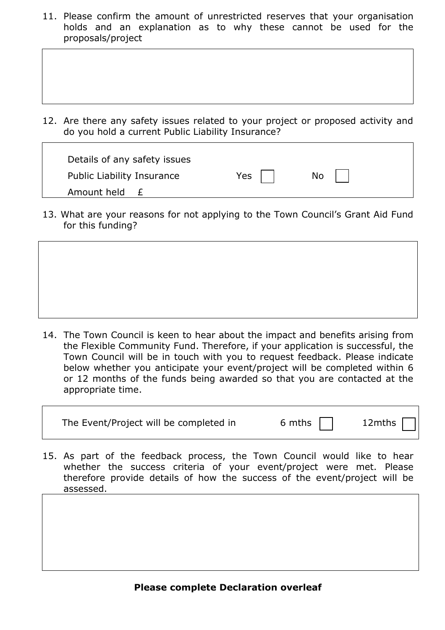11. Please confirm the amount of unrestricted reserves that your organisation holds and an explanation as to why these cannot be used for the proposals/project

12. Are there any safety issues related to your project or proposed activity and do you hold a current Public Liability Insurance?

| Details of any safety issues |       |    |  |
|------------------------------|-------|----|--|
| Public Liability Insurance   | Yes l | No |  |
| Amount held<br>$+$           |       |    |  |

13. What are your reasons for not applying to the Town Council's Grant Aid Fund for this funding?



14. The Town Council is keen to hear about the impact and benefits arising from the Flexible Community Fund. Therefore, if your application is successful, the Town Council will be in touch with you to request feedback. Please indicate below whether you anticipate your event/project will be completed within 6 or 12 months of the funds being awarded so that you are contacted at the appropriate time.

The Event/Project will be completed in 6 mths 12mths

15. As part of the feedback process, the Town Council would like to hear whether the success criteria of your event/project were met. Please therefore provide details of how the success of the event/project will be assessed.